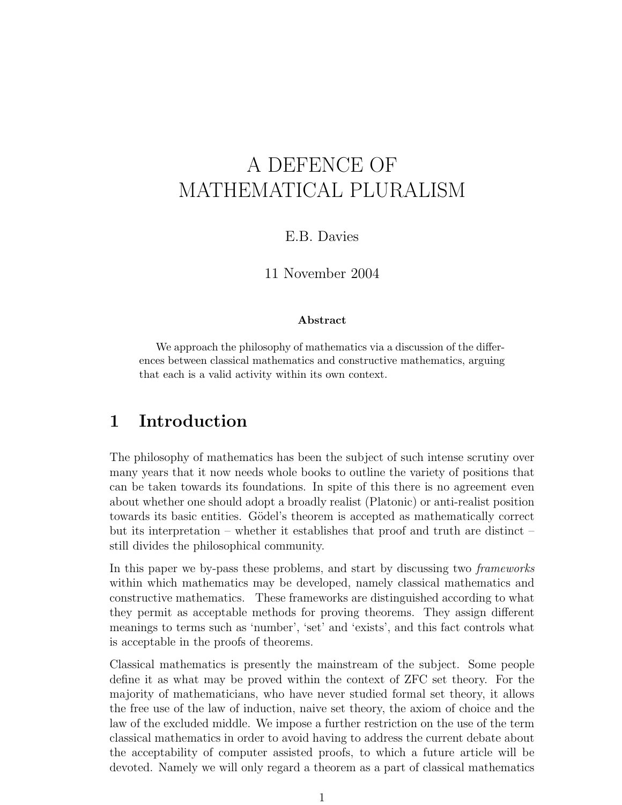# A DEFENCE OF MATHEMATICAL PLURALISM

#### E.B. Davies

#### 11 November 2004

#### Abstract

We approach the philosophy of mathematics via a discussion of the differences between classical mathematics and constructive mathematics, arguing that each is a valid activity within its own context.

#### 1 Introduction

The philosophy of mathematics has been the subject of such intense scrutiny over many years that it now needs whole books to outline the variety of positions that can be taken towards its foundations. In spite of this there is no agreement even about whether one should adopt a broadly realist (Platonic) or anti-realist position towards its basic entities. Gödel's theorem is accepted as mathematically correct but its interpretation – whether it establishes that proof and truth are distinct – still divides the philosophical community.

In this paper we by-pass these problems, and start by discussing two frameworks within which mathematics may be developed, namely classical mathematics and constructive mathematics. These frameworks are distinguished according to what they permit as acceptable methods for proving theorems. They assign different meanings to terms such as 'number', 'set' and 'exists', and this fact controls what is acceptable in the proofs of theorems.

Classical mathematics is presently the mainstream of the subject. Some people define it as what may be proved within the context of ZFC set theory. For the majority of mathematicians, who have never studied formal set theory, it allows the free use of the law of induction, naive set theory, the axiom of choice and the law of the excluded middle. We impose a further restriction on the use of the term classical mathematics in order to avoid having to address the current debate about the acceptability of computer assisted proofs, to which a future article will be devoted. Namely we will only regard a theorem as a part of classical mathematics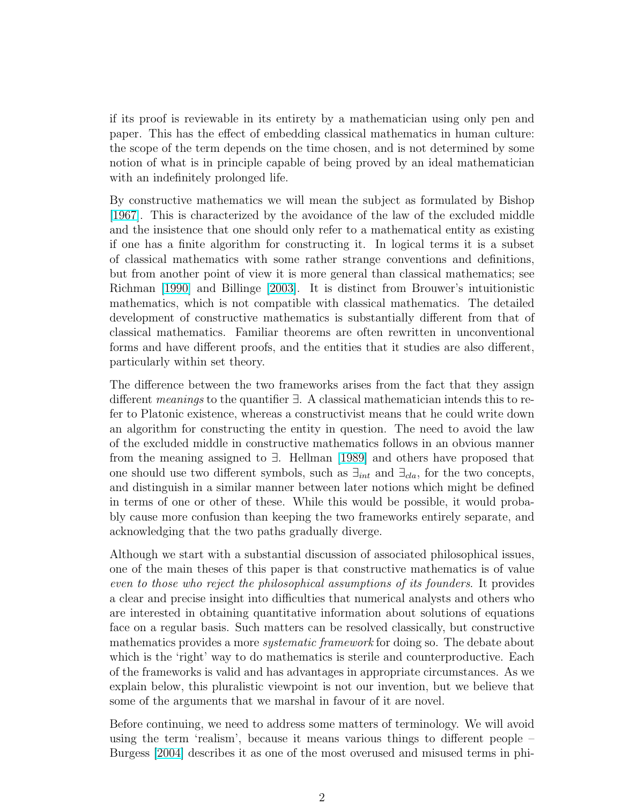if its proof is reviewable in its entirety by a mathematician using only pen and paper. This has the effect of embedding classical mathematics in human culture: the scope of the term depends on the time chosen, and is not determined by some notion of what is in principle capable of being proved by an ideal mathematician with an indefinitely prolonged life.

By constructive mathematics we will mean the subject as formulated by Bishop [\[1967\]](#page-20-0). This is characterized by the avoidance of the law of the excluded middle and the insistence that one should only refer to a mathematical entity as existing if one has a finite algorithm for constructing it. In logical terms it is a subset of classical mathematics with some rather strange conventions and definitions, but from another point of view it is more general than classical mathematics; see Richman [\[1990\]](#page-22-0) and Billinge [\[2003\]](#page-20-0). It is distinct from Brouwer's intuitionistic mathematics, which is not compatible with classical mathematics. The detailed development of constructive mathematics is substantially different from that of classical mathematics. Familiar theorems are often rewritten in unconventional forms and have different proofs, and the entities that it studies are also different, particularly within set theory.

The difference between the two frameworks arises from the fact that they assign different meanings to the quantifier ∃. A classical mathematician intends this to refer to Platonic existence, whereas a constructivist means that he could write down an algorithm for constructing the entity in question. The need to avoid the law of the excluded middle in constructive mathematics follows in an obvious manner from the meaning assigned to ∃. Hellman [\[1989\]](#page-22-0) and others have proposed that one should use two different symbols, such as  $\exists_{int}$  and  $\exists_{cla}$ , for the two concepts, and distinguish in a similar manner between later notions which might be defined in terms of one or other of these. While this would be possible, it would probably cause more confusion than keeping the two frameworks entirely separate, and acknowledging that the two paths gradually diverge.

Although we start with a substantial discussion of associated philosophical issues, one of the main theses of this paper is that constructive mathematics is of value even to those who reject the philosophical assumptions of its founders. It provides a clear and precise insight into difficulties that numerical analysts and others who are interested in obtaining quantitative information about solutions of equations face on a regular basis. Such matters can be resolved classically, but constructive mathematics provides a more *systematic framework* for doing so. The debate about which is the 'right' way to do mathematics is sterile and counterproductive. Each of the frameworks is valid and has advantages in appropriate circumstances. As we explain below, this pluralistic viewpoint is not our invention, but we believe that some of the arguments that we marshal in favour of it are novel.

Before continuing, we need to address some matters of terminology. We will avoid using the term 'realism', because it means various things to different people – Burgess [\[2004\]](#page-21-0) describes it as one of the most overused and misused terms in phi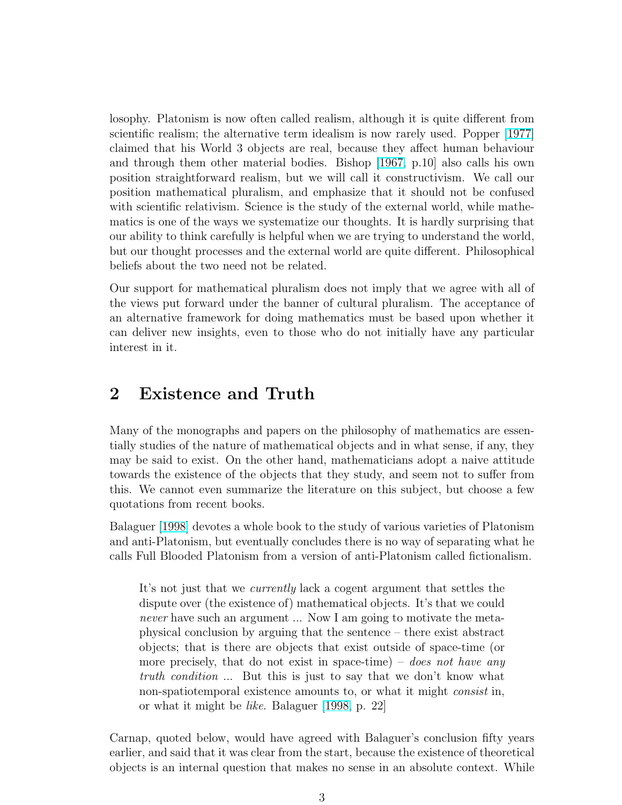losophy. Platonism is now often called realism, although it is quite different from scientific realism; the alternative term idealism is now rarely used. Popper [\[1977\]](#page-22-0) claimed that his World 3 objects are real, because they affect human behaviour and through them other material bodies. Bishop [\[1967,](#page-20-0) p.10] also calls his own position straightforward realism, but we will call it constructivism. We call our position mathematical pluralism, and emphasize that it should not be confused with scientific relativism. Science is the study of the external world, while mathematics is one of the ways we systematize our thoughts. It is hardly surprising that our ability to think carefully is helpful when we are trying to understand the world, but our thought processes and the external world are quite different. Philosophical beliefs about the two need not be related.

Our support for mathematical pluralism does not imply that we agree with all of the views put forward under the banner of cultural pluralism. The acceptance of an alternative framework for doing mathematics must be based upon whether it can deliver new insights, even to those who do not initially have any particular interest in it.

#### 2 Existence and Truth

Many of the monographs and papers on the philosophy of mathematics are essentially studies of the nature of mathematical objects and in what sense, if any, they may be said to exist. On the other hand, mathematicians adopt a naive attitude towards the existence of the objects that they study, and seem not to suffer from this. We cannot even summarize the literature on this subject, but choose a few quotations from recent books.

Balaguer [\[1998\]](#page-20-0) devotes a whole book to the study of various varieties of Platonism and anti-Platonism, but eventually concludes there is no way of separating what he calls Full Blooded Platonism from a version of anti-Platonism called fictionalism.

It's not just that we currently lack a cogent argument that settles the dispute over (the existence of) mathematical objects. It's that we could never have such an argument ... Now I am going to motivate the metaphysical conclusion by arguing that the sentence – there exist abstract objects; that is there are objects that exist outside of space-time (or more precisely, that do not exist in space-time) – does not have any truth condition ... But this is just to say that we don't know what non-spatiotemporal existence amounts to, or what it might *consist* in, or what it might be like. Balaguer [\[1998,](#page-20-0) p. 22]

Carnap, quoted below, would have agreed with Balaguer's conclusion fifty years earlier, and said that it was clear from the start, because the existence of theoretical objects is an internal question that makes no sense in an absolute context. While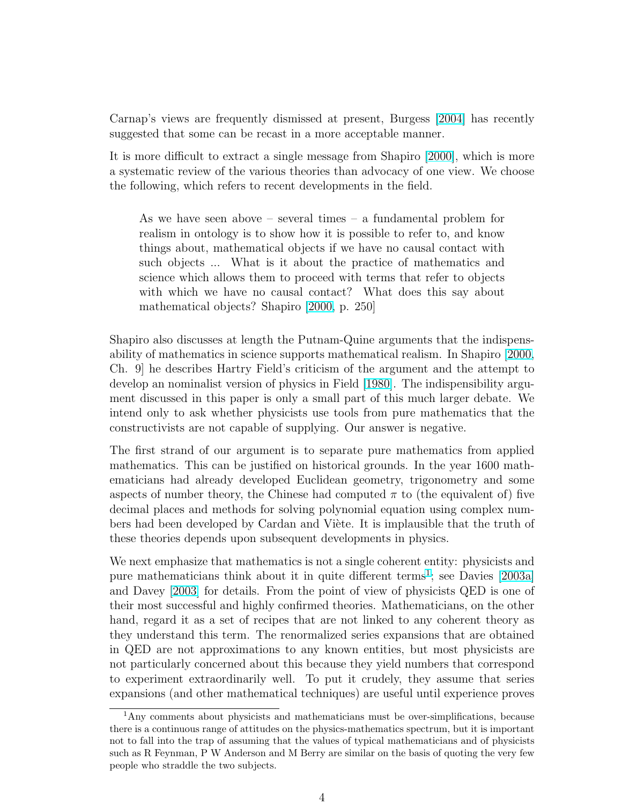Carnap's views are frequently dismissed at present, Burgess [\[2004\]](#page-21-0) has recently suggested that some can be recast in a more acceptable manner.

It is more difficult to extract a single message from Shapiro [\[2000\]](#page-23-0), which is more a systematic review of the various theories than advocacy of one view. We choose the following, which refers to recent developments in the field.

As we have seen above – several times – a fundamental problem for realism in ontology is to show how it is possible to refer to, and know things about, mathematical objects if we have no causal contact with such objects ... What is it about the practice of mathematics and science which allows them to proceed with terms that refer to objects with which we have no causal contact? What does this say about mathematical objects? Shapiro [\[2000,](#page-23-0) p. 250]

Shapiro also discusses at length the Putnam-Quine arguments that the indispensability of mathematics in science supports mathematical realism. In Shapiro [\[2000,](#page-23-0) Ch. 9] he describes Hartry Field's criticism of the argument and the attempt to develop an nominalist version of physics in Field [\[1980\]](#page-21-0). The indispensibility argument discussed in this paper is only a small part of this much larger debate. We intend only to ask whether physicists use tools from pure mathematics that the constructivists are not capable of supplying. Our answer is negative.

The first strand of our argument is to separate pure mathematics from applied mathematics. This can be justified on historical grounds. In the year 1600 mathematicians had already developed Euclidean geometry, trigonometry and some aspects of number theory, the Chinese had computed  $\pi$  to (the equivalent of) five decimal places and methods for solving polynomial equation using complex numbers had been developed by Cardan and Viète. It is implausible that the truth of these theories depends upon subsequent developments in physics.

We next emphasize that mathematics is not a single coherent entity: physicists and pure mathematicians think about it in quite different terms<sup>1</sup>; see Davies [\[2003a\]](#page-21-0) and Davey [\[2003\]](#page-21-0) for details. From the point of view of physicists QED is one of their most successful and highly confirmed theories. Mathematicians, on the other hand, regard it as a set of recipes that are not linked to any coherent theory as they understand this term. The renormalized series expansions that are obtained in QED are not approximations to any known entities, but most physicists are not particularly concerned about this because they yield numbers that correspond to experiment extraordinarily well. To put it crudely, they assume that series expansions (and other mathematical techniques) are useful until experience proves

 $1<sup>1</sup>$ Any comments about physicists and mathematicians must be over-simplifications, because there is a continuous range of attitudes on the physics-mathematics spectrum, but it is important not to fall into the trap of assuming that the values of typical mathematicians and of physicists such as R Feynman, P W Anderson and M Berry are similar on the basis of quoting the very few people who straddle the two subjects.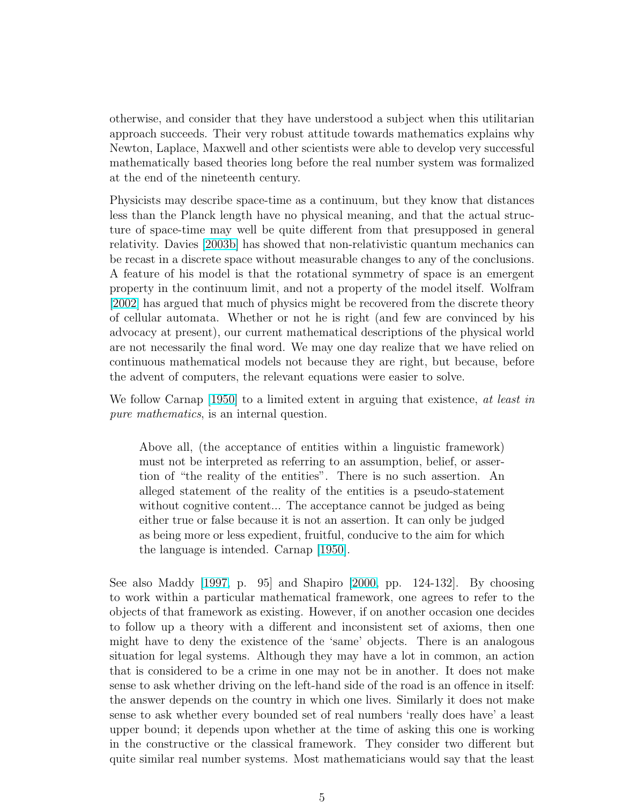otherwise, and consider that they have understood a subject when this utilitarian approach succeeds. Their very robust attitude towards mathematics explains why Newton, Laplace, Maxwell and other scientists were able to develop very successful mathematically based theories long before the real number system was formalized at the end of the nineteenth century.

Physicists may describe space-time as a continuum, but they know that distances less than the Planck length have no physical meaning, and that the actual structure of space-time may well be quite different from that presupposed in general relativity. Davies [\[2003b\]](#page-21-0) has showed that non-relativistic quantum mechanics can be recast in a discrete space without measurable changes to any of the conclusions. A feature of his model is that the rotational symmetry of space is an emergent property in the continuum limit, and not a property of the model itself. Wolfram [\[2002\]](#page-23-0) has argued that much of physics might be recovered from the discrete theory of cellular automata. Whether or not he is right (and few are convinced by his advocacy at present), our current mathematical descriptions of the physical world are not necessarily the final word. We may one day realize that we have relied on continuous mathematical models not because they are right, but because, before the advent of computers, the relevant equations were easier to solve.

We follow Carnap (1950) to a limited extent in arguing that existence, at least in pure mathematics, is an internal question.

Above all, (the acceptance of entities within a linguistic framework) must not be interpreted as referring to an assumption, belief, or assertion of "the reality of the entities". There is no such assertion. An alleged statement of the reality of the entities is a pseudo-statement without cognitive content... The acceptance cannot be judged as being either true or false because it is not an assertion. It can only be judged as being more or less expedient, fruitful, conducive to the aim for which the language is intended. Carnap [\[1950\]](#page-21-0).

See also Maddy [\[1997,](#page-22-0) p. 95] and Shapiro [\[2000,](#page-23-0) pp. 124-132]. By choosing to work within a particular mathematical framework, one agrees to refer to the objects of that framework as existing. However, if on another occasion one decides to follow up a theory with a different and inconsistent set of axioms, then one might have to deny the existence of the 'same' objects. There is an analogous situation for legal systems. Although they may have a lot in common, an action that is considered to be a crime in one may not be in another. It does not make sense to ask whether driving on the left-hand side of the road is an offence in itself: the answer depends on the country in which one lives. Similarly it does not make sense to ask whether every bounded set of real numbers 'really does have' a least upper bound; it depends upon whether at the time of asking this one is working in the constructive or the classical framework. They consider two different but quite similar real number systems. Most mathematicians would say that the least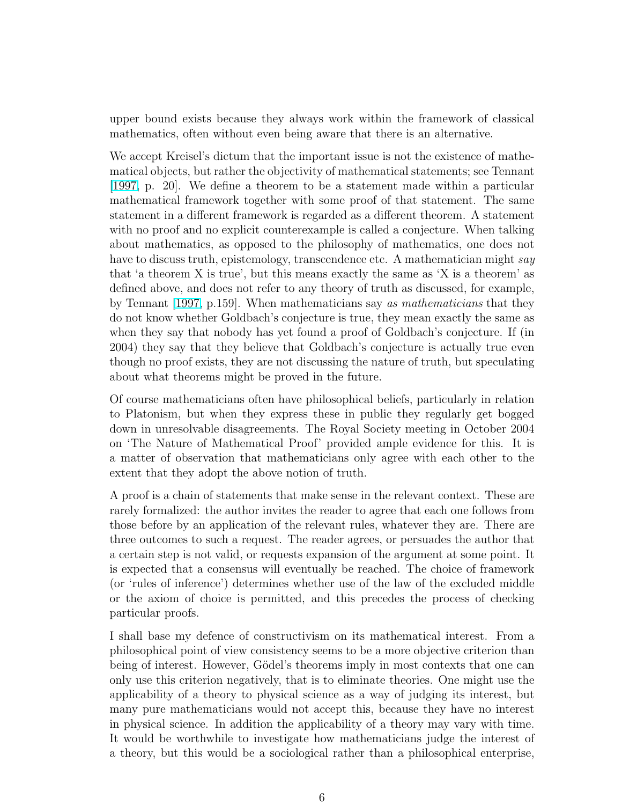upper bound exists because they always work within the framework of classical mathematics, often without even being aware that there is an alternative.

We accept Kreisel's dictum that the important issue is not the existence of mathematical objects, but rather the objectivity of mathematical statements; see Tennant [\[1997,](#page-23-0) p. 20]. We define a theorem to be a statement made within a particular mathematical framework together with some proof of that statement. The same statement in a different framework is regarded as a different theorem. A statement with no proof and no explicit counterexample is called a conjecture. When talking about mathematics, as opposed to the philosophy of mathematics, one does not have to discuss truth, epistemology, transcendence etc. A mathematician might say that 'a theorem X is true', but this means exactly the same as 'X is a theorem' as defined above, and does not refer to any theory of truth as discussed, for example, by Tennant [\[1997,](#page-23-0) p.159]. When mathematicians say as mathematicians that they do not know whether Goldbach's conjecture is true, they mean exactly the same as when they say that nobody has yet found a proof of Goldbach's conjecture. If (in 2004) they say that they believe that Goldbach's conjecture is actually true even though no proof exists, they are not discussing the nature of truth, but speculating about what theorems might be proved in the future.

Of course mathematicians often have philosophical beliefs, particularly in relation to Platonism, but when they express these in public they regularly get bogged down in unresolvable disagreements. The Royal Society meeting in October 2004 on 'The Nature of Mathematical Proof' provided ample evidence for this. It is a matter of observation that mathematicians only agree with each other to the extent that they adopt the above notion of truth.

A proof is a chain of statements that make sense in the relevant context. These are rarely formalized: the author invites the reader to agree that each one follows from those before by an application of the relevant rules, whatever they are. There are three outcomes to such a request. The reader agrees, or persuades the author that a certain step is not valid, or requests expansion of the argument at some point. It is expected that a consensus will eventually be reached. The choice of framework (or 'rules of inference') determines whether use of the law of the excluded middle or the axiom of choice is permitted, and this precedes the process of checking particular proofs.

I shall base my defence of constructivism on its mathematical interest. From a philosophical point of view consistency seems to be a more objective criterion than being of interest. However, Gödel's theorems imply in most contexts that one can only use this criterion negatively, that is to eliminate theories. One might use the applicability of a theory to physical science as a way of judging its interest, but many pure mathematicians would not accept this, because they have no interest in physical science. In addition the applicability of a theory may vary with time. It would be worthwhile to investigate how mathematicians judge the interest of a theory, but this would be a sociological rather than a philosophical enterprise,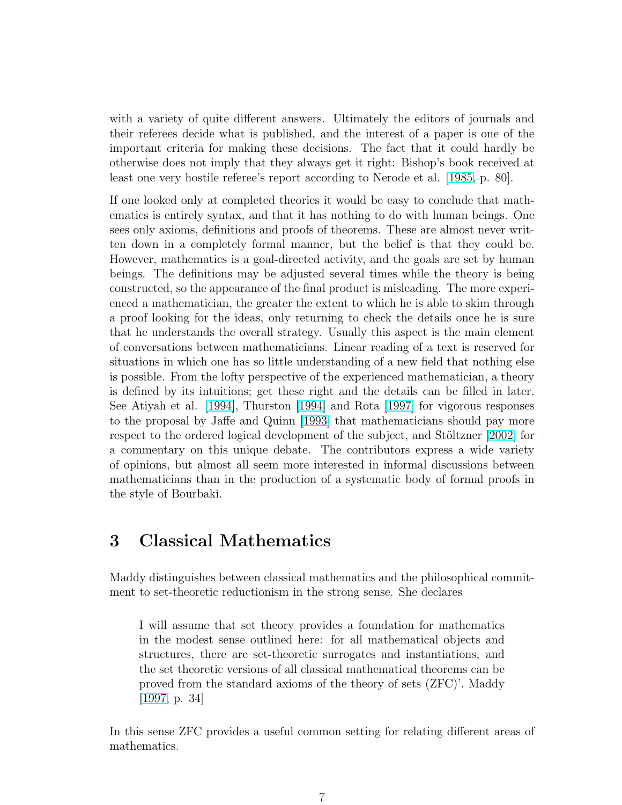with a variety of quite different answers. Ultimately the editors of journals and their referees decide what is published, and the interest of a paper is one of the important criteria for making these decisions. The fact that it could hardly be otherwise does not imply that they always get it right: Bishop's book received at least one very hostile referee's report according to Nerode et al. [\[1985,](#page-22-0) p. 80].

If one looked only at completed theories it would be easy to conclude that mathematics is entirely syntax, and that it has nothing to do with human beings. One sees only axioms, definitions and proofs of theorems. These are almost never written down in a completely formal manner, but the belief is that they could be. However, mathematics is a goal-directed activity, and the goals are set by human beings. The definitions may be adjusted several times while the theory is being constructed, so the appearance of the final product is misleading. The more experienced a mathematician, the greater the extent to which he is able to skim through a proof looking for the ideas, only returning to check the details once he is sure that he understands the overall strategy. Usually this aspect is the main element of conversations between mathematicians. Linear reading of a text is reserved for situations in which one has so little understanding of a new field that nothing else is possible. From the lofty perspective of the experienced mathematician, a theory is defined by its intuitions; get these right and the details can be filled in later. See Atiyah et al. [\[1994\]](#page-20-0), Thurston [\[1994\]](#page-23-0) and Rota [\[1997\]](#page-23-0) for vigorous responses to the proposal by Jaffe and Quinn [\[1993\]](#page-22-0) that mathematicians should pay more respect to the ordered logical development of the subject, and Stöltzner [\[2002\]](#page-23-0) for a commentary on this unique debate. The contributors express a wide variety of opinions, but almost all seem more interested in informal discussions between mathematicians than in the production of a systematic body of formal proofs in the style of Bourbaki.

### 3 Classical Mathematics

Maddy distinguishes between classical mathematics and the philosophical commitment to set-theoretic reductionism in the strong sense. She declares

I will assume that set theory provides a foundation for mathematics in the modest sense outlined here: for all mathematical objects and structures, there are set-theoretic surrogates and instantiations, and the set theoretic versions of all classical mathematical theorems can be proved from the standard axioms of the theory of sets (ZFC)'. Maddy [\[1997,](#page-22-0) p. 34]

In this sense ZFC provides a useful common setting for relating different areas of mathematics.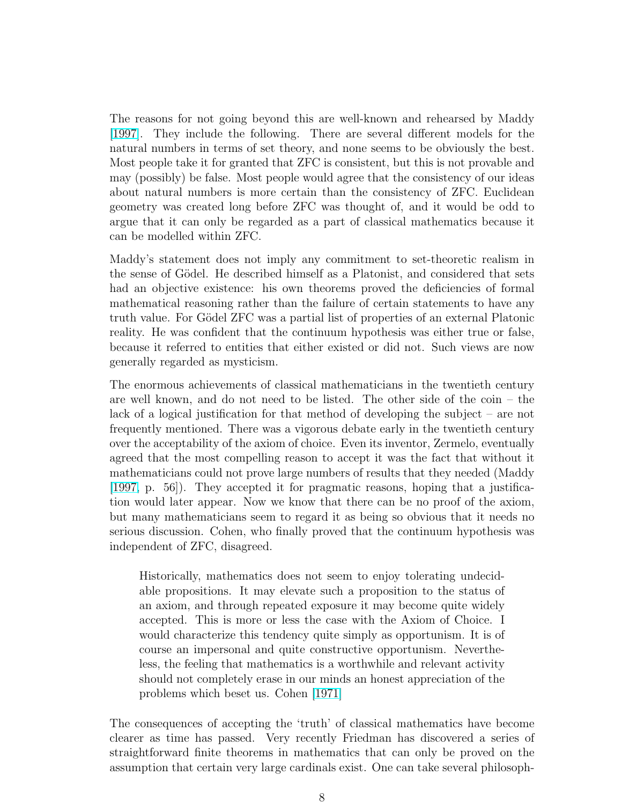The reasons for not going beyond this are well-known and rehearsed by Maddy [\[1997\]](#page-22-0). They include the following. There are several different models for the natural numbers in terms of set theory, and none seems to be obviously the best. Most people take it for granted that ZFC is consistent, but this is not provable and may (possibly) be false. Most people would agree that the consistency of our ideas about natural numbers is more certain than the consistency of ZFC. Euclidean geometry was created long before ZFC was thought of, and it would be odd to argue that it can only be regarded as a part of classical mathematics because it can be modelled within ZFC.

Maddy's statement does not imply any commitment to set-theoretic realism in the sense of Gödel. He described himself as a Platonist, and considered that sets had an objective existence: his own theorems proved the deficiencies of formal mathematical reasoning rather than the failure of certain statements to have any truth value. For Gödel ZFC was a partial list of properties of an external Platonic reality. He was confident that the continuum hypothesis was either true or false, because it referred to entities that either existed or did not. Such views are now generally regarded as mysticism.

The enormous achievements of classical mathematicians in the twentieth century are well known, and do not need to be listed. The other side of the coin – the lack of a logical justification for that method of developing the subject – are not frequently mentioned. There was a vigorous debate early in the twentieth century over the acceptability of the axiom of choice. Even its inventor, Zermelo, eventually agreed that the most compelling reason to accept it was the fact that without it mathematicians could not prove large numbers of results that they needed (Maddy [\[1997,](#page-22-0) p. 56]). They accepted it for pragmatic reasons, hoping that a justification would later appear. Now we know that there can be no proof of the axiom, but many mathematicians seem to regard it as being so obvious that it needs no serious discussion. Cohen, who finally proved that the continuum hypothesis was independent of ZFC, disagreed.

Historically, mathematics does not seem to enjoy tolerating undecidable propositions. It may elevate such a proposition to the status of an axiom, and through repeated exposure it may become quite widely accepted. This is more or less the case with the Axiom of Choice. I would characterize this tendency quite simply as opportunism. It is of course an impersonal and quite constructive opportunism. Nevertheless, the feeling that mathematics is a worthwhile and relevant activity should not completely erase in our minds an honest appreciation of the problems which beset us. Cohen [\[1971\]](#page-21-0)

The consequences of accepting the 'truth' of classical mathematics have become clearer as time has passed. Very recently Friedman has discovered a series of straightforward finite theorems in mathematics that can only be proved on the assumption that certain very large cardinals exist. One can take several philosoph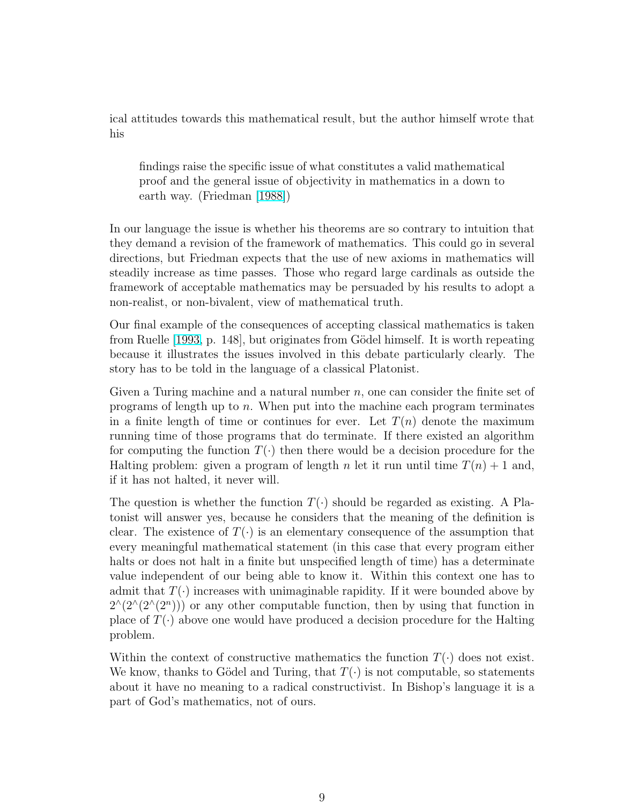ical attitudes towards this mathematical result, but the author himself wrote that his

findings raise the specific issue of what constitutes a valid mathematical proof and the general issue of objectivity in mathematics in a down to earth way. (Friedman [\[1988\]](#page-22-0))

In our language the issue is whether his theorems are so contrary to intuition that they demand a revision of the framework of mathematics. This could go in several directions, but Friedman expects that the use of new axioms in mathematics will steadily increase as time passes. Those who regard large cardinals as outside the framework of acceptable mathematics may be persuaded by his results to adopt a non-realist, or non-bivalent, view of mathematical truth.

Our final example of the consequences of accepting classical mathematics is taken from Ruelle [\[1993,](#page-23-0) p. 148], but originates from Gödel himself. It is worth repeating because it illustrates the issues involved in this debate particularly clearly. The story has to be told in the language of a classical Platonist.

Given a Turing machine and a natural number  $n$ , one can consider the finite set of programs of length up to n. When put into the machine each program terminates in a finite length of time or continues for ever. Let  $T(n)$  denote the maximum running time of those programs that do terminate. If there existed an algorithm for computing the function  $T(\cdot)$  then there would be a decision procedure for the Halting problem: given a program of length n let it run until time  $T(n) + 1$  and, if it has not halted, it never will.

The question is whether the function  $T(\cdot)$  should be regarded as existing. A Platonist will answer yes, because he considers that the meaning of the definition is clear. The existence of  $T(\cdot)$  is an elementary consequence of the assumption that every meaningful mathematical statement (in this case that every program either halts or does not halt in a finite but unspecified length of time) has a determinate value independent of our being able to know it. Within this context one has to admit that  $T(\cdot)$  increases with unimaginable rapidity. If it were bounded above by  $2^{(\frac{2}{2})}$  or any other computable function, then by using that function in place of  $T(\cdot)$  above one would have produced a decision procedure for the Halting problem.

Within the context of constructive mathematics the function  $T(\cdot)$  does not exist. We know, thanks to Gödel and Turing, that  $T(\cdot)$  is not computable, so statements about it have no meaning to a radical constructivist. In Bishop's language it is a part of God's mathematics, not of ours.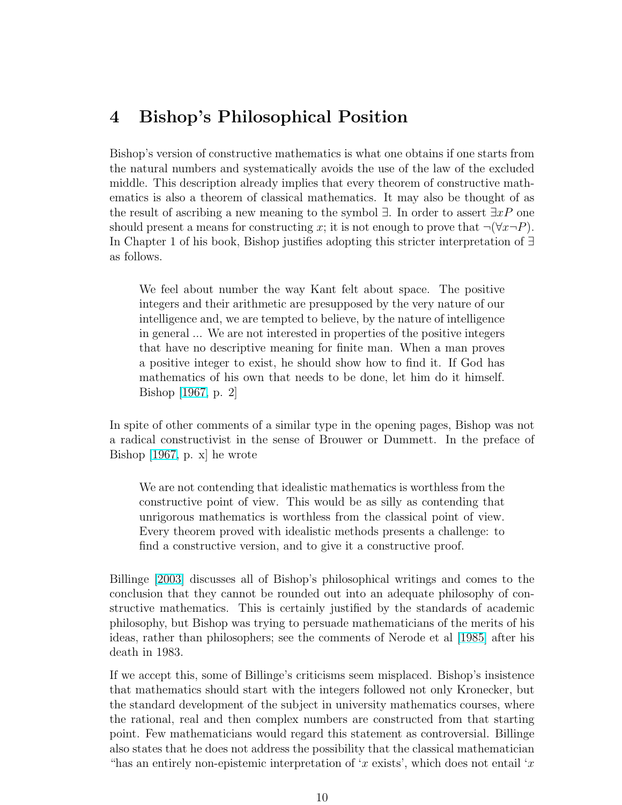#### 4 Bishop's Philosophical Position

Bishop's version of constructive mathematics is what one obtains if one starts from the natural numbers and systematically avoids the use of the law of the excluded middle. This description already implies that every theorem of constructive mathematics is also a theorem of classical mathematics. It may also be thought of as the result of ascribing a new meaning to the symbol  $\exists$ . In order to assert  $\exists x P$  one should present a means for constructing x; it is not enough to prove that  $\neg(\forall x \neg P)$ . In Chapter 1 of his book, Bishop justifies adopting this stricter interpretation of ∃ as follows.

We feel about number the way Kant felt about space. The positive integers and their arithmetic are presupposed by the very nature of our intelligence and, we are tempted to believe, by the nature of intelligence in general ... We are not interested in properties of the positive integers that have no descriptive meaning for finite man. When a man proves a positive integer to exist, he should show how to find it. If God has mathematics of his own that needs to be done, let him do it himself. Bishop [\[1967,](#page-20-0) p. 2]

In spite of other comments of a similar type in the opening pages, Bishop was not a radical constructivist in the sense of Brouwer or Dummett. In the preface of Bishop [\[1967,](#page-20-0) p. x] he wrote

We are not contending that idealistic mathematics is worthless from the constructive point of view. This would be as silly as contending that unrigorous mathematics is worthless from the classical point of view. Every theorem proved with idealistic methods presents a challenge: to find a constructive version, and to give it a constructive proof.

Billinge [\[2003\]](#page-20-0) discusses all of Bishop's philosophical writings and comes to the conclusion that they cannot be rounded out into an adequate philosophy of constructive mathematics. This is certainly justified by the standards of academic philosophy, but Bishop was trying to persuade mathematicians of the merits of his ideas, rather than philosophers; see the comments of Nerode et al [\[1985\]](#page-22-0) after his death in 1983.

If we accept this, some of Billinge's criticisms seem misplaced. Bishop's insistence that mathematics should start with the integers followed not only Kronecker, but the standard development of the subject in university mathematics courses, where the rational, real and then complex numbers are constructed from that starting point. Few mathematicians would regard this statement as controversial. Billinge also states that he does not address the possibility that the classical mathematician "has an entirely non-epistemic interpretation of 'x exists', which does not entail 'x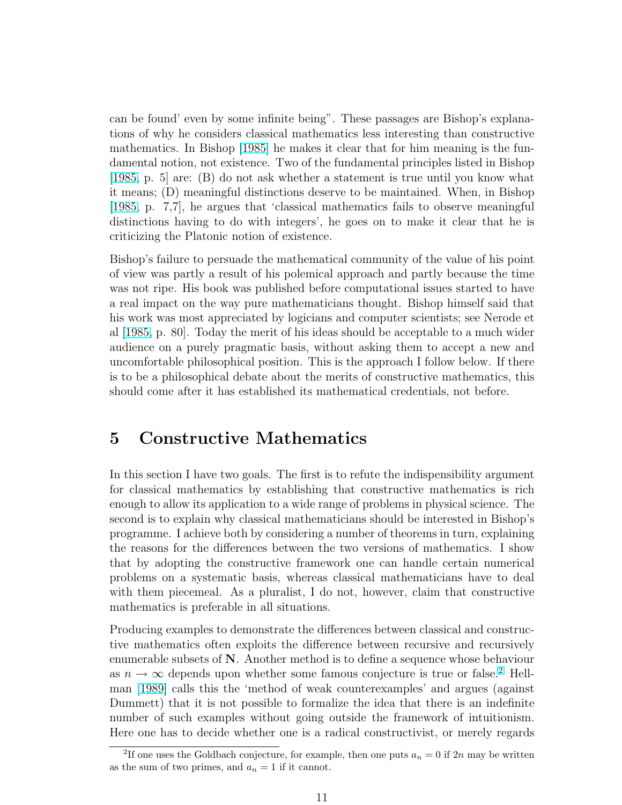can be found' even by some infinite being". These passages are Bishop's explanations of why he considers classical mathematics less interesting than constructive mathematics. In Bishop [\[1985\]](#page-20-0) he makes it clear that for him meaning is the fundamental notion, not existence. Two of the fundamental principles listed in Bishop [\[1985,](#page-20-0) p. 5] are: (B) do not ask whether a statement is true until you know what it means; (D) meaningful distinctions deserve to be maintained. When, in Bishop [\[1985,](#page-20-0) p. 7,7], he argues that 'classical mathematics fails to observe meaningful distinctions having to do with integers', he goes on to make it clear that he is criticizing the Platonic notion of existence.

Bishop's failure to persuade the mathematical community of the value of his point of view was partly a result of his polemical approach and partly because the time was not ripe. His book was published before computational issues started to have a real impact on the way pure mathematicians thought. Bishop himself said that his work was most appreciated by logicians and computer scientists; see Nerode et al [\[1985,](#page-22-0) p. 80]. Today the merit of his ideas should be acceptable to a much wider audience on a purely pragmatic basis, without asking them to accept a new and uncomfortable philosophical position. This is the approach I follow below. If there is to be a philosophical debate about the merits of constructive mathematics, this should come after it has established its mathematical credentials, not before.

#### 5 Constructive Mathematics

In this section I have two goals. The first is to refute the indispensibility argument for classical mathematics by establishing that constructive mathematics is rich enough to allow its application to a wide range of problems in physical science. The second is to explain why classical mathematicians should be interested in Bishop's programme. I achieve both by considering a number of theorems in turn, explaining the reasons for the differences between the two versions of mathematics. I show that by adopting the constructive framework one can handle certain numerical problems on a systematic basis, whereas classical mathematicians have to deal with them piecemeal. As a pluralist, I do not, however, claim that constructive mathematics is preferable in all situations.

Producing examples to demonstrate the differences between classical and constructive mathematics often exploits the difference between recursive and recursively enumerable subsets of  $N$ . Another method is to define a sequence whose behaviour as  $n \to \infty$  depends upon whether some famous conjecture is true or false.<sup>2</sup> Hellman [\[1989\]](#page-22-0) calls this the 'method of weak counterexamples' and argues (against Dummett) that it is not possible to formalize the idea that there is an indefinite number of such examples without going outside the framework of intuitionism. Here one has to decide whether one is a radical constructivist, or merely regards

<sup>&</sup>lt;sup>2</sup>If one uses the Goldbach conjecture, for example, then one puts  $a_n = 0$  if  $2n$  may be written as the sum of two primes, and  $a_n = 1$  if it cannot.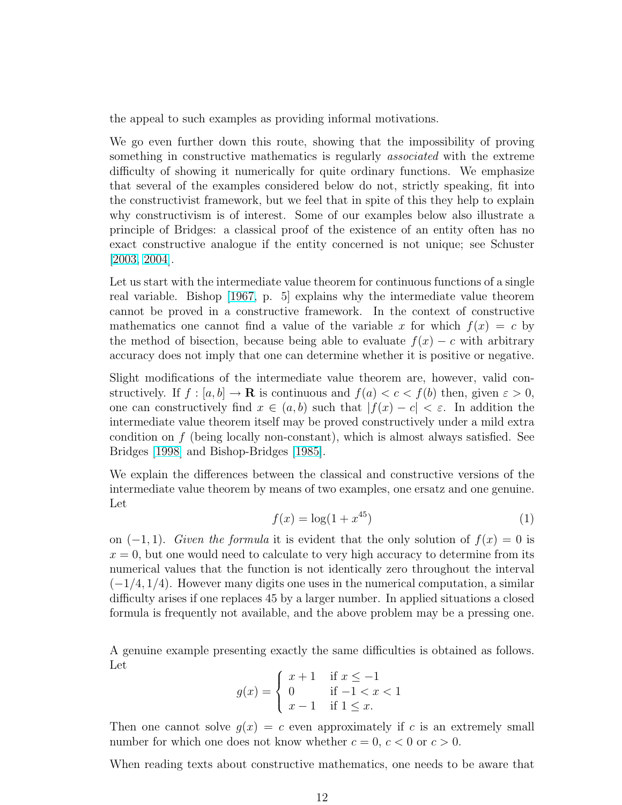<span id="page-11-0"></span>the appeal to such examples as providing informal motivations.

We go even further down this route, showing that the impossibility of proving something in constructive mathematics is regularly *associated* with the extreme difficulty of showing it numerically for quite ordinary functions. We emphasize that several of the examples considered below do not, strictly speaking, fit into the constructivist framework, but we feel that in spite of this they help to explain why constructivism is of interest. Some of our examples below also illustrate a principle of Bridges: a classical proof of the existence of an entity often has no exact constructive analogue if the entity concerned is not unique; see Schuster [\[2003,](#page-23-0) [2004\]](#page-23-0).

Let us start with the intermediate value theorem for continuous functions of a single real variable. Bishop [\[1967,](#page-20-0) p. 5] explains why the intermediate value theorem cannot be proved in a constructive framework. In the context of constructive mathematics one cannot find a value of the variable x for which  $f(x) = c$  by the method of bisection, because being able to evaluate  $f(x) - c$  with arbitrary accuracy does not imply that one can determine whether it is positive or negative.

Slight modifications of the intermediate value theorem are, however, valid constructively. If  $f : [a, b] \to \mathbf{R}$  is continuous and  $f(a) < c < f(b)$  then, given  $\varepsilon > 0$ , one can constructively find  $x \in (a, b)$  such that  $|f(x) - c| < \varepsilon$ . In addition the intermediate value theorem itself may be proved constructively under a mild extra condition on  $f$  (being locally non-constant), which is almost always satisfied. See Bridges [\[1998\]](#page-21-0) and Bishop-Bridges [\[1985\]](#page-21-0).

We explain the differences between the classical and constructive versions of the intermediate value theorem by means of two examples, one ersatz and one genuine. Let

$$
f(x) = \log(1 + x^{45})
$$
 (1)

on  $(-1, 1)$ . Given the formula it is evident that the only solution of  $f(x) = 0$  is  $x = 0$ , but one would need to calculate to very high accuracy to determine from its numerical values that the function is not identically zero throughout the interval  $(-1/4, 1/4)$ . However many digits one uses in the numerical computation, a similar difficulty arises if one replaces 45 by a larger number. In applied situations a closed formula is frequently not available, and the above problem may be a pressing one.

A genuine example presenting exactly the same difficulties is obtained as follows. Let  $\overline{a}$ 

$$
g(x) = \begin{cases} x+1 & \text{if } x \le -1 \\ 0 & \text{if } -1 < x < 1 \\ x-1 & \text{if } 1 \le x. \end{cases}
$$

Then one cannot solve  $g(x) = c$  even approximately if c is an extremely small number for which one does not know whether  $c = 0, c < 0$  or  $c > 0$ .

When reading texts about constructive mathematics, one needs to be aware that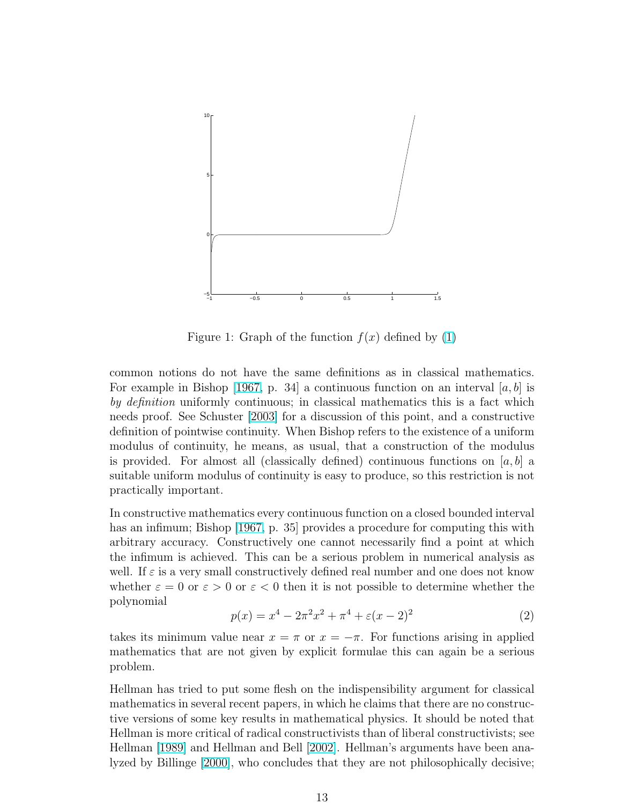<span id="page-12-0"></span>

Figure 1: Graph of the function  $f(x)$  defined by [\(1\)](#page-11-0)

common notions do not have the same definitions as in classical mathematics. For example in Bishop [\[1967,](#page-20-0) p. 34] a continuous function on an interval [a, b] is by definition uniformly continuous; in classical mathematics this is a fact which needs proof. See Schuster [\[2003\]](#page-23-0) for a discussion of this point, and a constructive definition of pointwise continuity. When Bishop refers to the existence of a uniform modulus of continuity, he means, as usual, that a construction of the modulus is provided. For almost all (classically defined) continuous functions on  $[a, b]$  a suitable uniform modulus of continuity is easy to produce, so this restriction is not practically important.

In constructive mathematics every continuous function on a closed bounded interval has an infimum; Bishop [\[1967,](#page-20-0) p. 35] provides a procedure for computing this with arbitrary accuracy. Constructively one cannot necessarily find a point at which the infimum is achieved. This can be a serious problem in numerical analysis as well. If  $\varepsilon$  is a very small constructively defined real number and one does not know whether  $\varepsilon = 0$  or  $\varepsilon > 0$  or  $\varepsilon < 0$  then it is not possible to determine whether the polynomial

$$
p(x) = x^4 - 2\pi^2 x^2 + \pi^4 + \varepsilon (x - 2)^2
$$
\n(2)

takes its minimum value near  $x = \pi$  or  $x = -\pi$ . For functions arising in applied mathematics that are not given by explicit formulae this can again be a serious problem.

Hellman has tried to put some flesh on the indispensibility argument for classical mathematics in several recent papers, in which he claims that there are no constructive versions of some key results in mathematical physics. It should be noted that Hellman is more critical of radical constructivists than of liberal constructivists; see Hellman [\[1989\]](#page-22-0) and Hellman and Bell [\[2002\]](#page-22-0). Hellman's arguments have been analyzed by Billinge [\[2000\]](#page-20-0), who concludes that they are not philosophically decisive;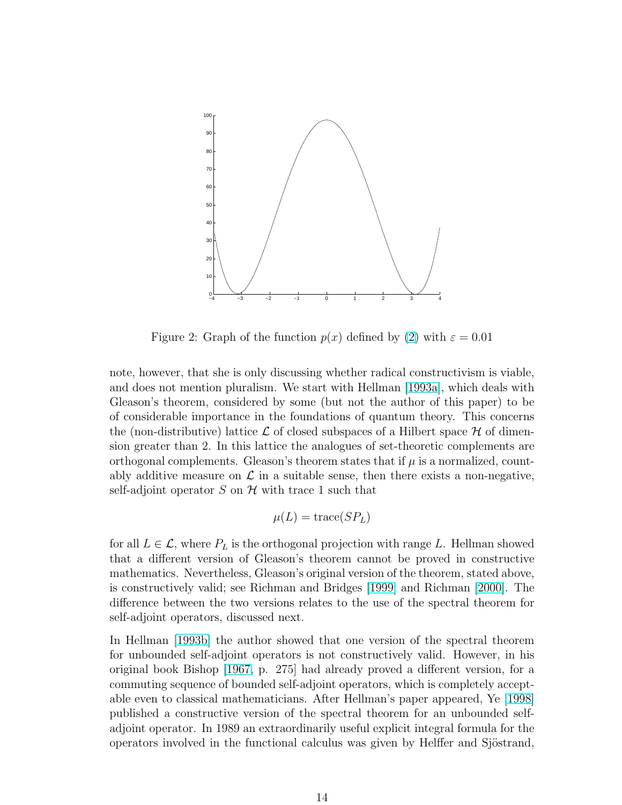

Figure 2: Graph of the function  $p(x)$  defined by [\(2\)](#page-12-0) with  $\varepsilon = 0.01$ 

note, however, that she is only discussing whether radical constructivism is viable, and does not mention pluralism. We start with Hellman [\[1993a\]](#page-22-0), which deals with Gleason's theorem, considered by some (but not the author of this paper) to be of considerable importance in the foundations of quantum theory. This concerns the (non-distributive) lattice  $\mathcal L$  of closed subspaces of a Hilbert space  $\mathcal H$  of dimension greater than 2. In this lattice the analogues of set-theoretic complements are orthogonal complements. Gleason's theorem states that if  $\mu$  is a normalized, countably additive measure on  $\mathcal L$  in a suitable sense, then there exists a non-negative, self-adjoint operator S on  $\mathcal H$  with trace 1 such that

$$
\mu(L) = \text{trace}(SP_L)
$$

for all  $L \in \mathcal{L}$ , where  $P_L$  is the orthogonal projection with range L. Hellman showed that a different version of Gleason's theorem cannot be proved in constructive mathematics. Nevertheless, Gleason's original version of the theorem, stated above, is constructively valid; see Richman and Bridges [\[1999\]](#page-23-0) and Richman [\[2000\]](#page-23-0). The difference between the two versions relates to the use of the spectral theorem for self-adjoint operators, discussed next.

In Hellman [\[1993b\]](#page-22-0) the author showed that one version of the spectral theorem for unbounded self-adjoint operators is not constructively valid. However, in his original book Bishop [\[1967,](#page-20-0) p. 275] had already proved a different version, for a commuting sequence of bounded self-adjoint operators, which is completely acceptable even to classical mathematicians. After Hellman's paper appeared, Ye [\[1998\]](#page-23-0) published a constructive version of the spectral theorem for an unbounded selfadjoint operator. In 1989 an extraordinarily useful explicit integral formula for the operators involved in the functional calculus was given by Helffer and Sjöstrand,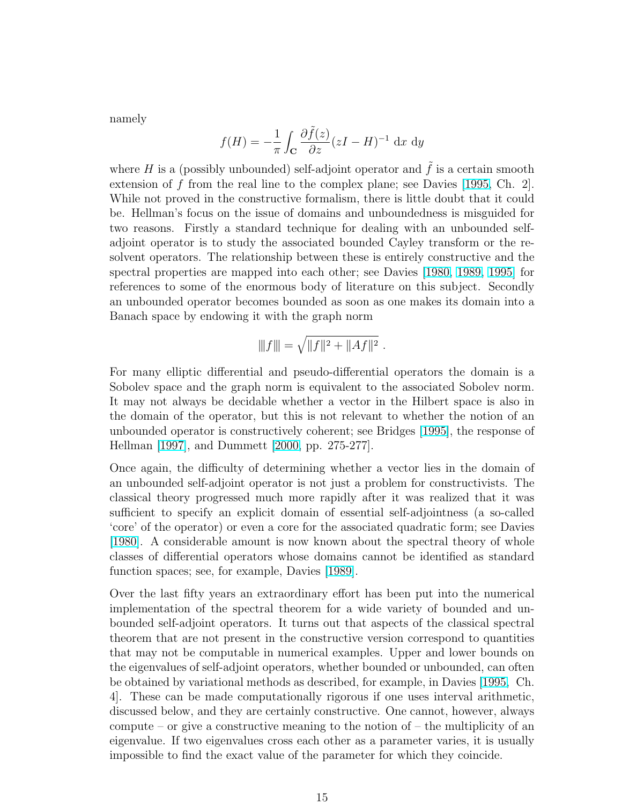namely

$$
f(H) = -\frac{1}{\pi} \int_{\mathbf{C}} \frac{\partial \tilde{f}(z)}{\partial z} (zI - H)^{-1} \, \mathrm{d}x \, \mathrm{d}y
$$

where  $H$  is a (possibly unbounded) self-adjoint operator and  $f$  is a certain smooth extension of  $f$  from the real line to the complex plane; see Davies [\[1995,](#page-21-0) Ch. 2]. While not proved in the constructive formalism, there is little doubt that it could be. Hellman's focus on the issue of domains and unboundedness is misguided for two reasons. Firstly a standard technique for dealing with an unbounded selfadjoint operator is to study the associated bounded Cayley transform or the resolvent operators. The relationship between these is entirely constructive and the spectral properties are mapped into each other; see Davies [\[1980,](#page-21-0) [1989,](#page-21-0) [1995\]](#page-21-0) for references to some of the enormous body of literature on this subject. Secondly an unbounded operator becomes bounded as soon as one makes its domain into a Banach space by endowing it with the graph norm

$$
|||f||| = \sqrt{||f||^2 + ||Af||^2}.
$$

For many elliptic differential and pseudo-differential operators the domain is a Sobolev space and the graph norm is equivalent to the associated Sobolev norm. It may not always be decidable whether a vector in the Hilbert space is also in the domain of the operator, but this is not relevant to whether the notion of an unbounded operator is constructively coherent; see Bridges [\[1995\]](#page-21-0), the response of Hellman [\[1997\]](#page-22-0), and Dummett [\[2000,](#page-21-0) pp. 275-277].

Once again, the difficulty of determining whether a vector lies in the domain of an unbounded self-adjoint operator is not just a problem for constructivists. The classical theory progressed much more rapidly after it was realized that it was sufficient to specify an explicit domain of essential self-adjointness (a so-called 'core' of the operator) or even a core for the associated quadratic form; see Davies [\[1980\]](#page-21-0). A considerable amount is now known about the spectral theory of whole classes of differential operators whose domains cannot be identified as standard function spaces; see, for example, Davies [\[1989\]](#page-21-0).

Over the last fifty years an extraordinary effort has been put into the numerical implementation of the spectral theorem for a wide variety of bounded and unbounded self-adjoint operators. It turns out that aspects of the classical spectral theorem that are not present in the constructive version correspond to quantities that may not be computable in numerical examples. Upper and lower bounds on the eigenvalues of self-adjoint operators, whether bounded or unbounded, can often be obtained by variational methods as described, for example, in Davies [\[1995,](#page-21-0) Ch. 4]. These can be made computationally rigorous if one uses interval arithmetic, discussed below, and they are certainly constructive. One cannot, however, always compute – or give a constructive meaning to the notion of – the multiplicity of an eigenvalue. If two eigenvalues cross each other as a parameter varies, it is usually impossible to find the exact value of the parameter for which they coincide.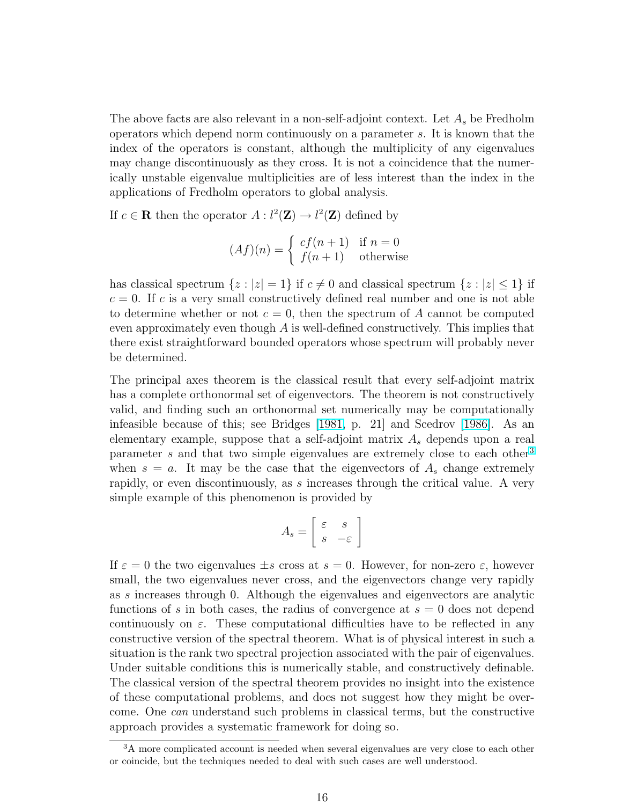The above facts are also relevant in a non-self-adjoint context. Let  $A_s$  be Fredholm operators which depend norm continuously on a parameter s. It is known that the index of the operators is constant, although the multiplicity of any eigenvalues may change discontinuously as they cross. It is not a coincidence that the numerically unstable eigenvalue multiplicities are of less interest than the index in the applications of Fredholm operators to global analysis.

If  $c \in \mathbf{R}$  then the operator  $A: l^2(\mathbf{Z}) \to l^2(\mathbf{Z})$  defined by

$$
(Af)(n) = \begin{cases} cf(n+1) & \text{if } n = 0\\ f(n+1) & \text{otherwise} \end{cases}
$$

has classical spectrum  $\{z : |z| = 1\}$  if  $c \neq 0$  and classical spectrum  $\{z : |z| \leq 1\}$  if  $c = 0$ . If c is a very small constructively defined real number and one is not able to determine whether or not  $c = 0$ , then the spectrum of A cannot be computed even approximately even though  $A$  is well-defined constructively. This implies that there exist straightforward bounded operators whose spectrum will probably never be determined.

The principal axes theorem is the classical result that every self-adjoint matrix has a complete orthonormal set of eigenvectors. The theorem is not constructively valid, and finding such an orthonormal set numerically may be computationally infeasible because of this; see Bridges [\[1981,](#page-21-0) p. 21] and Scedrov [\[1986\]](#page-23-0). As an elementary example, suppose that a self-adjoint matrix  $A_s$  depends upon a real parameter s and that two simple eigenvalues are extremely close to each other<sup>3</sup> when  $s = a$ . It may be the case that the eigenvectors of  $A<sub>s</sub>$  change extremely rapidly, or even discontinuously, as s increases through the critical value. A very simple example of this phenomenon is provided by

$$
A_s = \left[ \begin{array}{cc} \varepsilon & s \\ s & -\varepsilon \end{array} \right]
$$

If  $\varepsilon = 0$  the two eigenvalues  $\pm s$  cross at  $s = 0$ . However, for non-zero  $\varepsilon$ , however small, the two eigenvalues never cross, and the eigenvectors change very rapidly as s increases through 0. Although the eigenvalues and eigenvectors are analytic functions of s in both cases, the radius of convergence at  $s = 0$  does not depend continuously on  $\varepsilon$ . These computational difficulties have to be reflected in any constructive version of the spectral theorem. What is of physical interest in such a situation is the rank two spectral projection associated with the pair of eigenvalues. Under suitable conditions this is numerically stable, and constructively definable. The classical version of the spectral theorem provides no insight into the existence of these computational problems, and does not suggest how they might be overcome. One can understand such problems in classical terms, but the constructive approach provides a systematic framework for doing so.

<sup>&</sup>lt;sup>3</sup>A more complicated account is needed when several eigenvalues are very close to each other or coincide, but the techniques needed to deal with such cases are well understood.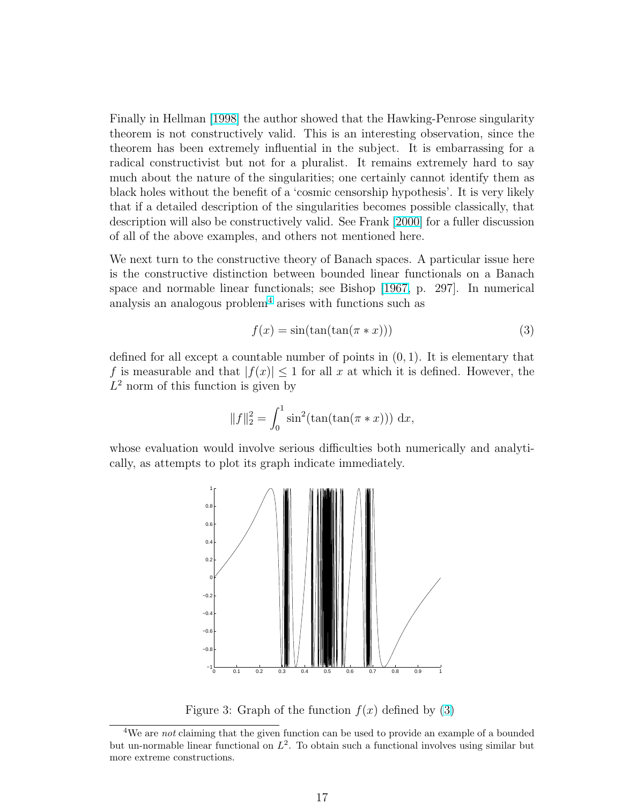Finally in Hellman [\[1998\]](#page-22-0) the author showed that the Hawking-Penrose singularity theorem is not constructively valid. This is an interesting observation, since the theorem has been extremely influential in the subject. It is embarrassing for a radical constructivist but not for a pluralist. It remains extremely hard to say much about the nature of the singularities; one certainly cannot identify them as black holes without the benefit of a 'cosmic censorship hypothesis'. It is very likely that if a detailed description of the singularities becomes possible classically, that description will also be constructively valid. See Frank [\[2000\]](#page-22-0) for a fuller discussion of all of the above examples, and others not mentioned here.

We next turn to the constructive theory of Banach spaces. A particular issue here is the constructive distinction between bounded linear functionals on a Banach space and normable linear functionals; see Bishop [\[1967,](#page-20-0) p. 297]. In numerical analysis an analogous problem<sup>4</sup> arises with functions such as

$$
f(x) = \sin(\tan(\tan(\pi * x)))\tag{3}
$$

defined for all except a countable number of points in  $(0, 1)$ . It is elementary that f is measurable and that  $|f(x)| \leq 1$  for all x at which it is defined. However, the  $L^2$  norm of this function is given by

$$
||f||_2^2 = \int_0^1 \sin^2(\tan(\tan(\pi * x))) \, dx,
$$

whose evaluation would involve serious difficulties both numerically and analytically, as attempts to plot its graph indicate immediately.



Figure 3: Graph of the function  $f(x)$  defined by (3)

<sup>&</sup>lt;sup>4</sup>We are *not* claiming that the given function can be used to provide an example of a bounded but un-normable linear functional on  $L^2$ . To obtain such a functional involves using similar but more extreme constructions.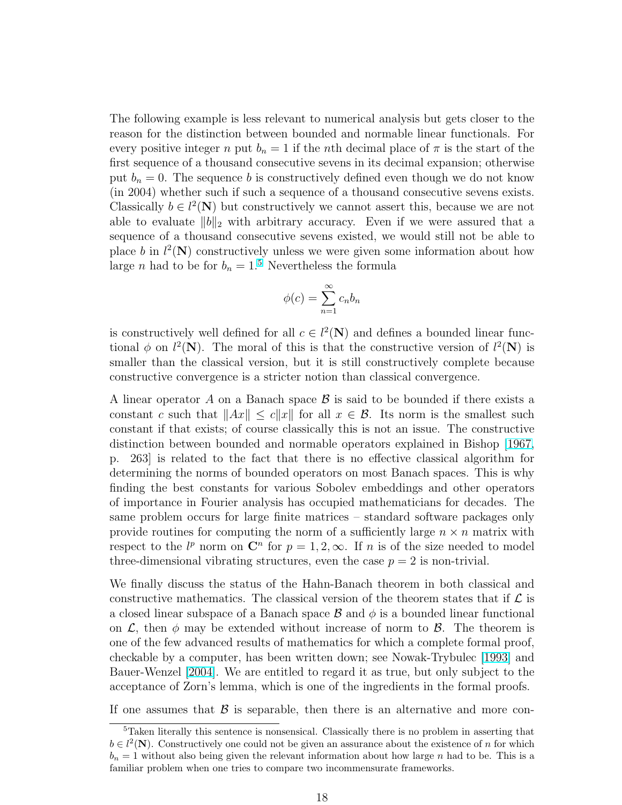The following example is less relevant to numerical analysis but gets closer to the reason for the distinction between bounded and normable linear functionals. For every positive integer n put  $b_n = 1$  if the nth decimal place of  $\pi$  is the start of the first sequence of a thousand consecutive sevens in its decimal expansion; otherwise put  $b_n = 0$ . The sequence b is constructively defined even though we do not know (in 2004) whether such if such a sequence of a thousand consecutive sevens exists. Classically  $b \in l^2(\mathbb{N})$  but constructively we cannot assert this, because we are not able to evaluate  $||b||_2$  with arbitrary accuracy. Even if we were assured that a sequence of a thousand consecutive sevens existed, we would still not be able to place b in  $l^2(\mathbf{N})$  constructively unless we were given some information about how large *n* had to be for  $b_n = 1.5$  Nevertheless the formula

$$
\phi(c) = \sum_{n=1}^{\infty} c_n b_n
$$

is constructively well defined for all  $c \in l^2(\mathbb{N})$  and defines a bounded linear functional  $\phi$  on  $l^2(\mathbf{N})$ . The moral of this is that the constructive version of  $l^2(\mathbf{N})$  is smaller than the classical version, but it is still constructively complete because constructive convergence is a stricter notion than classical convergence.

A linear operator A on a Banach space  $\beta$  is said to be bounded if there exists a constant c such that  $||Ax|| \leq c||x||$  for all  $x \in \mathcal{B}$ . Its norm is the smallest such constant if that exists; of course classically this is not an issue. The constructive distinction between bounded and normable operators explained in Bishop [\[1967,](#page-20-0) p. 263] is related to the fact that there is no effective classical algorithm for determining the norms of bounded operators on most Banach spaces. This is why finding the best constants for various Sobolev embeddings and other operators of importance in Fourier analysis has occupied mathematicians for decades. The same problem occurs for large finite matrices – standard software packages only provide routines for computing the norm of a sufficiently large  $n \times n$  matrix with respect to the  $l^p$  norm on  $\mathbb{C}^n$  for  $p = 1, 2, \infty$ . If n is of the size needed to model three-dimensional vibrating structures, even the case  $p = 2$  is non-trivial.

We finally discuss the status of the Hahn-Banach theorem in both classical and constructive mathematics. The classical version of the theorem states that if  $\mathcal L$  is a closed linear subspace of a Banach space  $\beta$  and  $\phi$  is a bounded linear functional on  $\mathcal{L}$ , then  $\phi$  may be extended without increase of norm to  $\mathcal{B}$ . The theorem is one of the few advanced results of mathematics for which a complete formal proof, checkable by a computer, has been written down; see Nowak-Trybulec [\[1993\]](#page-22-0) and Bauer-Wenzel [\[2004\]](#page-20-0). We are entitled to regard it as true, but only subject to the acceptance of Zorn's lemma, which is one of the ingredients in the formal proofs.

If one assumes that  $\beta$  is separable, then there is an alternative and more con-

<sup>5</sup>Taken literally this sentence is nonsensical. Classically there is no problem in asserting that  $b \in l^2(\mathbf{N})$ . Constructively one could not be given an assurance about the existence of n for which  $b_n = 1$  without also being given the relevant information about how large n had to be. This is a familiar problem when one tries to compare two incommensurate frameworks.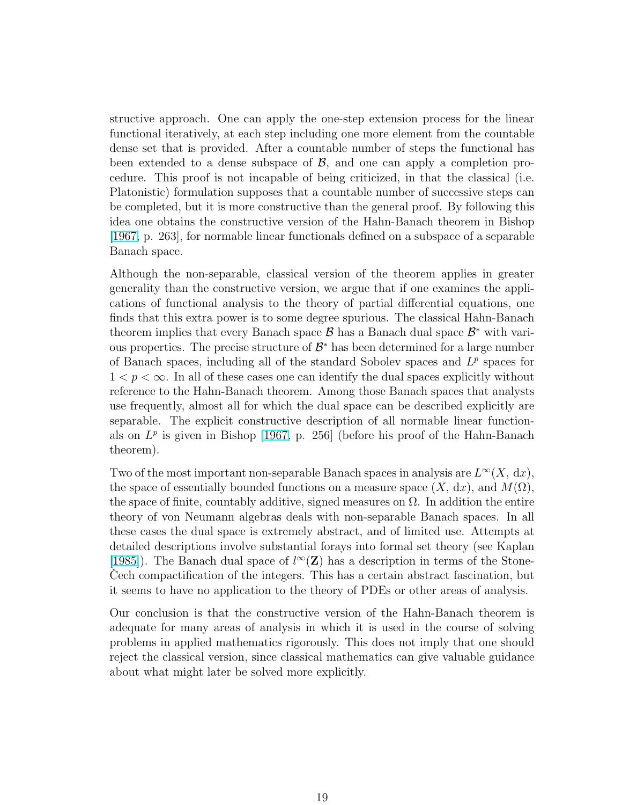structive approach. One can apply the one-step extension process for the linear functional iteratively, at each step including one more element from the countable dense set that is provided. After a countable number of steps the functional has been extended to a dense subspace of  $\mathcal{B}$ , and one can apply a completion procedure. This proof is not incapable of being criticized, in that the classical (i.e. Platonistic) formulation supposes that a countable number of successive steps can be completed, but it is more constructive than the general proof. By following this idea one obtains the constructive version of the Hahn-Banach theorem in Bishop [\[1967,](#page-20-0) p. 263], for normable linear functionals defined on a subspace of a separable Banach space.

Although the non-separable, classical version of the theorem applies in greater generality than the constructive version, we argue that if one examines the applications of functional analysis to the theory of partial differential equations, one finds that this extra power is to some degree spurious. The classical Hahn-Banach theorem implies that every Banach space  $\mathcal{B}$  has a Banach dual space  $\mathcal{B}^*$  with various properties. The precise structure of  $\mathcal{B}^*$  has been determined for a large number of Banach spaces, including all of the standard Sobolev spaces and  $L^p$  spaces for  $1 < p < \infty$ . In all of these cases one can identify the dual spaces explicitly without reference to the Hahn-Banach theorem. Among those Banach spaces that analysts use frequently, almost all for which the dual space can be described explicitly are separable. The explicit constructive description of all normable linear functionals on  $L^p$  is given in Bishop [\[1967,](#page-20-0) p. 256] (before his proof of the Hahn-Banach theorem).

Two of the most important non-separable Banach spaces in analysis are  $L^{\infty}(X, dx)$ , the space of essentially bounded functions on a measure space  $(X, dx)$ , and  $M(\Omega)$ , the space of finite, countably additive, signed measures on  $\Omega$ . In addition the entire theory of von Neumann algebras deals with non-separable Banach spaces. In all these cases the dual space is extremely abstract, and of limited use. Attempts at detailed descriptions involve substantial forays into formal set theory (see Kaplan [\[1985\]](#page-22-0)). The Banach dual space of  $l^{\infty}(\mathbf{Z})$  has a description in terms of the Stone-Cech compactification of the integers. This has a certain abstract fascination, but it seems to have no application to the theory of PDEs or other areas of analysis.

Our conclusion is that the constructive version of the Hahn-Banach theorem is adequate for many areas of analysis in which it is used in the course of solving problems in applied mathematics rigorously. This does not imply that one should reject the classical version, since classical mathematics can give valuable guidance about what might later be solved more explicitly.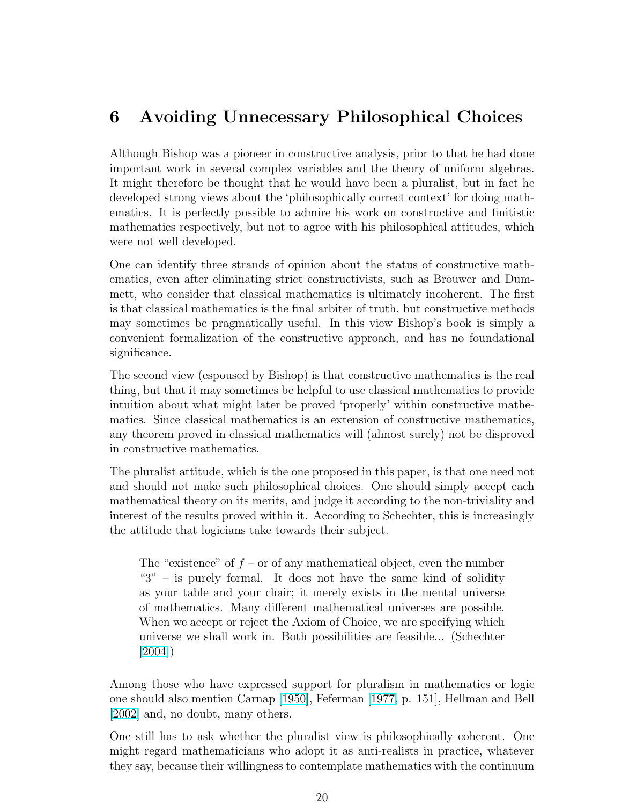## 6 Avoiding Unnecessary Philosophical Choices

Although Bishop was a pioneer in constructive analysis, prior to that he had done important work in several complex variables and the theory of uniform algebras. It might therefore be thought that he would have been a pluralist, but in fact he developed strong views about the 'philosophically correct context' for doing mathematics. It is perfectly possible to admire his work on constructive and finitistic mathematics respectively, but not to agree with his philosophical attitudes, which were not well developed.

One can identify three strands of opinion about the status of constructive mathematics, even after eliminating strict constructivists, such as Brouwer and Dummett, who consider that classical mathematics is ultimately incoherent. The first is that classical mathematics is the final arbiter of truth, but constructive methods may sometimes be pragmatically useful. In this view Bishop's book is simply a convenient formalization of the constructive approach, and has no foundational significance.

The second view (espoused by Bishop) is that constructive mathematics is the real thing, but that it may sometimes be helpful to use classical mathematics to provide intuition about what might later be proved 'properly' within constructive mathematics. Since classical mathematics is an extension of constructive mathematics, any theorem proved in classical mathematics will (almost surely) not be disproved in constructive mathematics.

The pluralist attitude, which is the one proposed in this paper, is that one need not and should not make such philosophical choices. One should simply accept each mathematical theory on its merits, and judge it according to the non-triviality and interest of the results proved within it. According to Schechter, this is increasingly the attitude that logicians take towards their subject.

The "existence" of  $f$  – or of any mathematical object, even the number " $3"$  – is purely formal. It does not have the same kind of solidity as your table and your chair; it merely exists in the mental universe of mathematics. Many different mathematical universes are possible. When we accept or reject the Axiom of Choice, we are specifying which universe we shall work in. Both possibilities are feasible... (Schechter [\[2004\]](#page-23-0))

Among those who have expressed support for pluralism in mathematics or logic one should also mention Carnap [\[1950\]](#page-21-0), Feferman [\[1977,](#page-21-0) p. 151], Hellman and Bell [\[2002\]](#page-22-0) and, no doubt, many others.

One still has to ask whether the pluralist view is philosophically coherent. One might regard mathematicians who adopt it as anti-realists in practice, whatever they say, because their willingness to contemplate mathematics with the continuum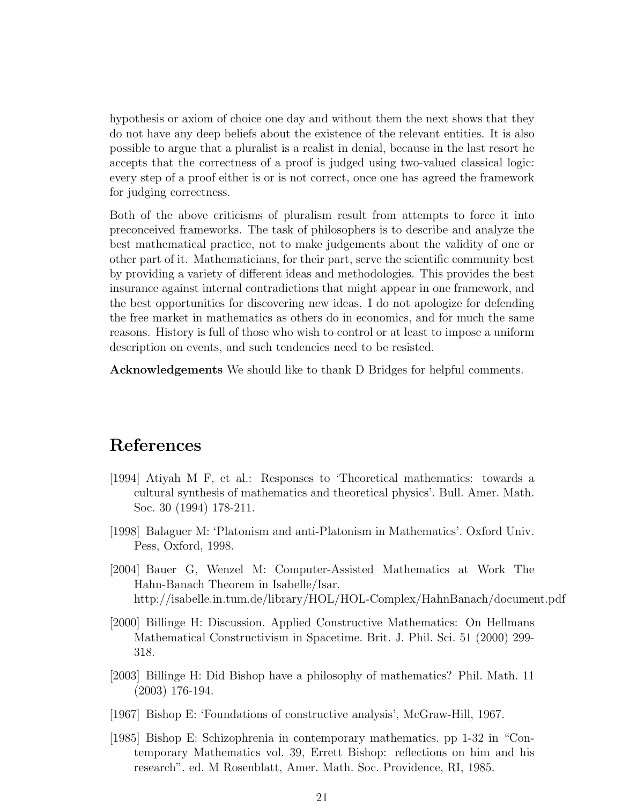<span id="page-20-0"></span>hypothesis or axiom of choice one day and without them the next shows that they do not have any deep beliefs about the existence of the relevant entities. It is also possible to argue that a pluralist is a realist in denial, because in the last resort he accepts that the correctness of a proof is judged using two-valued classical logic: every step of a proof either is or is not correct, once one has agreed the framework for judging correctness.

Both of the above criticisms of pluralism result from attempts to force it into preconceived frameworks. The task of philosophers is to describe and analyze the best mathematical practice, not to make judgements about the validity of one or other part of it. Mathematicians, for their part, serve the scientific community best by providing a variety of different ideas and methodologies. This provides the best insurance against internal contradictions that might appear in one framework, and the best opportunities for discovering new ideas. I do not apologize for defending the free market in mathematics as others do in economics, and for much the same reasons. History is full of those who wish to control or at least to impose a uniform description on events, and such tendencies need to be resisted.

Acknowledgements We should like to thank D Bridges for helpful comments.

## References

- [1994] Atiyah M F, et al.: Responses to 'Theoretical mathematics: towards a cultural synthesis of mathematics and theoretical physics'. Bull. Amer. Math. Soc. 30 (1994) 178-211.
- [1998] Balaguer M: 'Platonism and anti-Platonism in Mathematics'. Oxford Univ. Pess, Oxford, 1998.
- [2004] Bauer G, Wenzel M: Computer-Assisted Mathematics at Work The Hahn-Banach Theorem in Isabelle/Isar. http://isabelle.in.tum.de/library/HOL/HOL-Complex/HahnBanach/document.pdf
- [2000] Billinge H: Discussion. Applied Constructive Mathematics: On Hellmans Mathematical Constructivism in Spacetime. Brit. J. Phil. Sci. 51 (2000) 299- 318.
- [2003] Billinge H: Did Bishop have a philosophy of mathematics? Phil. Math. 11 (2003) 176-194.
- [1967] Bishop E: 'Foundations of constructive analysis', McGraw-Hill, 1967.
- [1985] Bishop E: Schizophrenia in contemporary mathematics. pp 1-32 in "Contemporary Mathematics vol. 39, Errett Bishop: reflections on him and his research". ed. M Rosenblatt, Amer. Math. Soc. Providence, RI, 1985.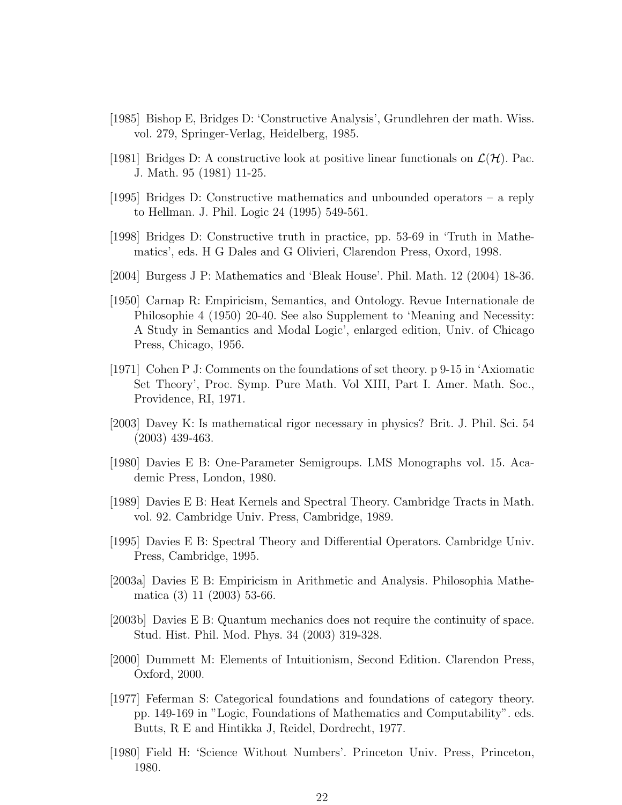- <span id="page-21-0"></span>[1985] Bishop E, Bridges D: 'Constructive Analysis', Grundlehren der math. Wiss. vol. 279, Springer-Verlag, Heidelberg, 1985.
- [1981] Bridges D: A constructive look at positive linear functionals on  $\mathcal{L}(\mathcal{H})$ . Pac. J. Math. 95 (1981) 11-25.
- [1995] Bridges D: Constructive mathematics and unbounded operators a reply to Hellman. J. Phil. Logic 24 (1995) 549-561.
- [1998] Bridges D: Constructive truth in practice, pp. 53-69 in 'Truth in Mathematics', eds. H G Dales and G Olivieri, Clarendon Press, Oxord, 1998.
- [2004] Burgess J P: Mathematics and 'Bleak House'. Phil. Math. 12 (2004) 18-36.
- [1950] Carnap R: Empiricism, Semantics, and Ontology. Revue Internationale de Philosophie 4 (1950) 20-40. See also Supplement to 'Meaning and Necessity: A Study in Semantics and Modal Logic', enlarged edition, Univ. of Chicago Press, Chicago, 1956.
- [1971] Cohen P J: Comments on the foundations of set theory. p 9-15 in 'Axiomatic Set Theory', Proc. Symp. Pure Math. Vol XIII, Part I. Amer. Math. Soc., Providence, RI, 1971.
- [2003] Davey K: Is mathematical rigor necessary in physics? Brit. J. Phil. Sci. 54 (2003) 439-463.
- [1980] Davies E B: One-Parameter Semigroups. LMS Monographs vol. 15. Academic Press, London, 1980.
- [1989] Davies E B: Heat Kernels and Spectral Theory. Cambridge Tracts in Math. vol. 92. Cambridge Univ. Press, Cambridge, 1989.
- [1995] Davies E B: Spectral Theory and Differential Operators. Cambridge Univ. Press, Cambridge, 1995.
- [2003a] Davies E B: Empiricism in Arithmetic and Analysis. Philosophia Mathematica (3) 11 (2003) 53-66.
- [2003b] Davies E B: Quantum mechanics does not require the continuity of space. Stud. Hist. Phil. Mod. Phys. 34 (2003) 319-328.
- [2000] Dummett M: Elements of Intuitionism, Second Edition. Clarendon Press, Oxford, 2000.
- [1977] Feferman S: Categorical foundations and foundations of category theory. pp. 149-169 in "Logic, Foundations of Mathematics and Computability". eds. Butts, R E and Hintikka J, Reidel, Dordrecht, 1977.
- [1980] Field H: 'Science Without Numbers'. Princeton Univ. Press, Princeton, 1980.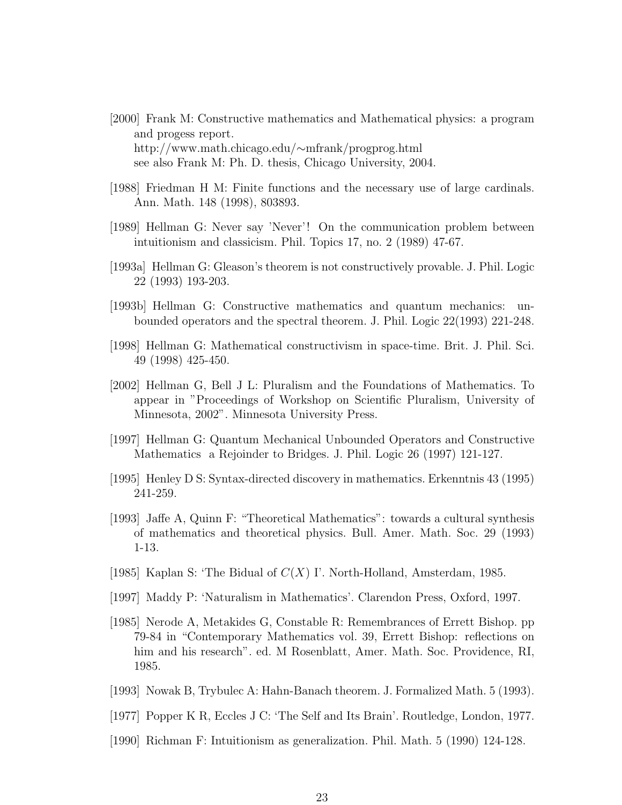- <span id="page-22-0"></span>[2000] Frank M: Constructive mathematics and Mathematical physics: a program and progess report. http://www.math.chicago.edu/∼mfrank/progprog.html see also Frank M: Ph. D. thesis, Chicago University, 2004.
- [1988] Friedman H M: Finite functions and the necessary use of large cardinals. Ann. Math. 148 (1998), 803893.
- [1989] Hellman G: Never say 'Never'! On the communication problem between intuitionism and classicism. Phil. Topics 17, no. 2 (1989) 47-67.
- [1993a] Hellman G: Gleason's theorem is not constructively provable. J. Phil. Logic 22 (1993) 193-203.
- [1993b] Hellman G: Constructive mathematics and quantum mechanics: unbounded operators and the spectral theorem. J. Phil. Logic 22(1993) 221-248.
- [1998] Hellman G: Mathematical constructivism in space-time. Brit. J. Phil. Sci. 49 (1998) 425-450.
- [2002] Hellman G, Bell J L: Pluralism and the Foundations of Mathematics. To appear in "Proceedings of Workshop on Scientific Pluralism, University of Minnesota, 2002". Minnesota University Press.
- [1997] Hellman G: Quantum Mechanical Unbounded Operators and Constructive Mathematics a Rejoinder to Bridges. J. Phil. Logic 26 (1997) 121-127.
- [1995] Henley D S: Syntax-directed discovery in mathematics. Erkenntnis 43 (1995) 241-259.
- [1993] Jaffe A, Quinn F: "Theoretical Mathematics": towards a cultural synthesis of mathematics and theoretical physics. Bull. Amer. Math. Soc. 29 (1993) 1-13.
- [1985] Kaplan S: 'The Bidual of  $C(X)$  I'. North-Holland, Amsterdam, 1985.
- [1997] Maddy P: 'Naturalism in Mathematics'. Clarendon Press, Oxford, 1997.
- [1985] Nerode A, Metakides G, Constable R: Remembrances of Errett Bishop. pp 79-84 in "Contemporary Mathematics vol. 39, Errett Bishop: reflections on him and his research". ed. M Rosenblatt, Amer. Math. Soc. Providence, RI, 1985.
- [1993] Nowak B, Trybulec A: Hahn-Banach theorem. J. Formalized Math. 5 (1993).
- [1977] Popper K R, Eccles J C: 'The Self and Its Brain'. Routledge, London, 1977.
- [1990] Richman F: Intuitionism as generalization. Phil. Math. 5 (1990) 124-128.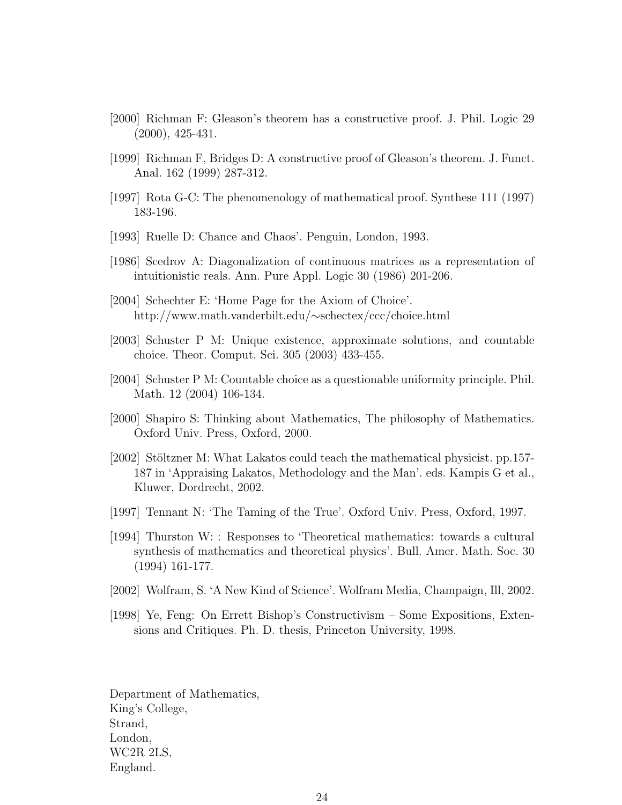- <span id="page-23-0"></span>[2000] Richman F: Gleason's theorem has a constructive proof. J. Phil. Logic 29 (2000), 425-431.
- [1999] Richman F, Bridges D: A constructive proof of Gleason's theorem. J. Funct. Anal. 162 (1999) 287-312.
- [1997] Rota G-C: The phenomenology of mathematical proof. Synthese 111 (1997) 183-196.
- [1993] Ruelle D: Chance and Chaos'. Penguin, London, 1993.
- [1986] Scedrov A: Diagonalization of continuous matrices as a representation of intuitionistic reals. Ann. Pure Appl. Logic 30 (1986) 201-206.
- [2004] Schechter E: 'Home Page for the Axiom of Choice'. http://www.math.vanderbilt.edu/∼schectex/ccc/choice.html
- [2003] Schuster P M: Unique existence, approximate solutions, and countable choice. Theor. Comput. Sci. 305 (2003) 433-455.
- [2004] Schuster P M: Countable choice as a questionable uniformity principle. Phil. Math. 12 (2004) 106-134.
- [2000] Shapiro S: Thinking about Mathematics, The philosophy of Mathematics. Oxford Univ. Press, Oxford, 2000.
- [2002] Stöltzner M: What Lakatos could teach the mathematical physicist. pp.157-187 in 'Appraising Lakatos, Methodology and the Man'. eds. Kampis G et al., Kluwer, Dordrecht, 2002.
- [1997] Tennant N: 'The Taming of the True'. Oxford Univ. Press, Oxford, 1997.
- [1994] Thurston W: : Responses to 'Theoretical mathematics: towards a cultural synthesis of mathematics and theoretical physics'. Bull. Amer. Math. Soc. 30 (1994) 161-177.
- [2002] Wolfram, S. 'A New Kind of Science'. Wolfram Media, Champaign, Ill, 2002.
- [1998] Ye, Feng: On Errett Bishop's Constructivism Some Expositions, Extensions and Critiques. Ph. D. thesis, Princeton University, 1998.

Department of Mathematics, King's College, Strand, London, WC2R 2LS, England.